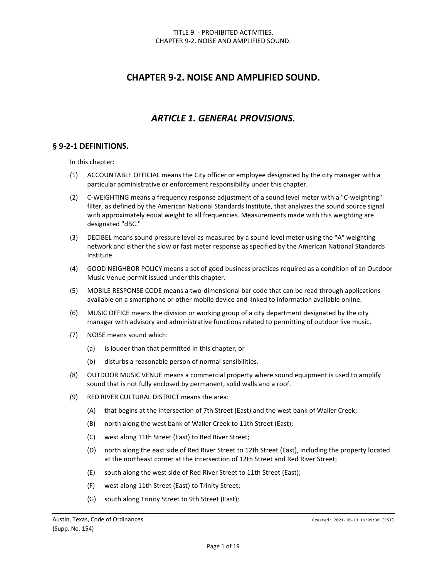## **CHAPTER 9-2. NOISE AND AMPLIFIED SOUND.**

## *ARTICLE 1. GENERAL PROVISIONS.*

#### **§ 9-2-1 DEFINITIONS.**

In this chapter:

- (1) ACCOUNTABLE OFFICIAL means the City officer or employee designated by the city manager with a particular administrative or enforcement responsibility under this chapter.
- (2) C-WEIGHTING means a frequency response adjustment of a sound level meter with a "C-weighting" filter, as defined by the American National Standards Institute, that analyzes the sound source signal with approximately equal weight to all frequencies. Measurements made with this weighting are designated "dBC."
- (3) DECIBEL means sound pressure level as measured by a sound level meter using the "A" weighting network and either the slow or fast meter response as specified by the American National Standards Institute.
- (4) GOOD NEIGHBOR POLICY means a set of good business practices required as a condition of an Outdoor Music Venue permit issued under this chapter.
- (5) MOBILE RESPONSE CODE means a two-dimensional bar code that can be read through applications available on a smartphone or other mobile device and linked to information available online.
- (6) MUSIC OFFICE means the division or working group of a city department designated by the city manager with advisory and administrative functions related to permitting of outdoor live music.
- (7) NOISE means sound which:
	- (a) is louder than that permitted in this chapter, or
	- (b) disturbs a reasonable person of normal sensibilities.
- (8) OUTDOOR MUSIC VENUE means a commercial property where sound equipment is used to amplify sound that is not fully enclosed by permanent, solid walls and a roof.
- (9) RED RIVER CULTURAL DISTRICT means the area:
	- (A) that begins at the intersection of 7th Street (East) and the west bank of Waller Creek;
	- (B) north along the west bank of Waller Creek to 11th Street (East);
	- (C) west along 11th Street (East) to Red River Street;
	- (D) north along the east side of Red River Street to 12th Street (East), including the property located at the northeast corner at the intersection of 12th Street and Red River Street;
	- (E) south along the west side of Red River Street to 11th Street (East);
	- (F) west along 11th Street (East) to Trinity Street;
	- (G) south along Trinity Street to 9th Street (East);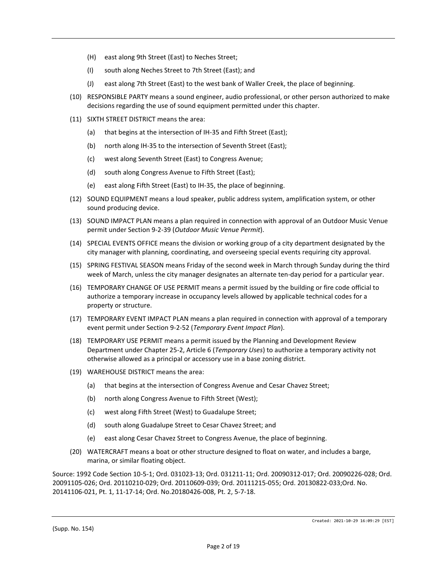- (H) east along 9th Street (East) to Neches Street;
- (I) south along Neches Street to 7th Street (East); and
- (J) east along 7th Street (East) to the west bank of Waller Creek, the place of beginning.
- (10) RESPONSIBLE PARTY means a sound engineer, audio professional, or other person authorized to make decisions regarding the use of sound equipment permitted under this chapter.
- (11) SIXTH STREET DISTRICT means the area:
	- (a) that begins at the intersection of IH-35 and Fifth Street (East);
	- (b) north along IH-35 to the intersection of Seventh Street (East);
	- (c) west along Seventh Street (East) to Congress Avenue;
	- (d) south along Congress Avenue to Fifth Street (East);
	- (e) east along Fifth Street (East) to IH-35, the place of beginning.
- (12) SOUND EQUIPMENT means a loud speaker, public address system, amplification system, or other sound producing device.
- (13) SOUND IMPACT PLAN means a plan required in connection with approval of an Outdoor Music Venue permit under Section 9-2-39 (*Outdoor Music Venue Permit*).
- (14) SPECIAL EVENTS OFFICE means the division or working group of a city department designated by the city manager with planning, coordinating, and overseeing special events requiring city approval.
- (15) SPRING FESTIVAL SEASON means Friday of the second week in March through Sunday during the third week of March, unless the city manager designates an alternate ten-day period for a particular year.
- (16) TEMPORARY CHANGE OF USE PERMIT means a permit issued by the building or fire code official to authorize a temporary increase in occupancy levels allowed by applicable technical codes for a property or structure.
- (17) TEMPORARY EVENT IMPACT PLAN means a plan required in connection with approval of a temporary event permit under Section 9-2-52 (*Temporary Event Impact Plan*).
- (18) TEMPORARY USE PERMIT means a permit issued by the Planning and Development Review Department under Chapter 25-2, Article 6 (*Temporary Uses*) to authorize a temporary activity not otherwise allowed as a principal or accessory use in a base zoning district.
- (19) WAREHOUSE DISTRICT means the area:
	- (a) that begins at the intersection of Congress Avenue and Cesar Chavez Street;
	- (b) north along Congress Avenue to Fifth Street (West);
	- (c) west along Fifth Street (West) to Guadalupe Street;
	- (d) south along Guadalupe Street to Cesar Chavez Street; and
	- (e) east along Cesar Chavez Street to Congress Avenue, the place of beginning.
- (20) WATERCRAFT means a boat or other structure designed to float on water, and includes a barge, marina, or similar floating object.

Source: 1992 Code Section 10-5-1; Ord. 031023-13; Ord. 031211-11; Ord. 20090312-017; Ord. 20090226-028; Ord. 20091105-026; Ord. 20110210-029; Ord. 20110609-039; Ord. 20111215-055; Ord. 20130822-033;Ord. No. 20141106-021, Pt. 1, 11-17-14; Ord. No.20180426-008, Pt. 2, 5-7-18.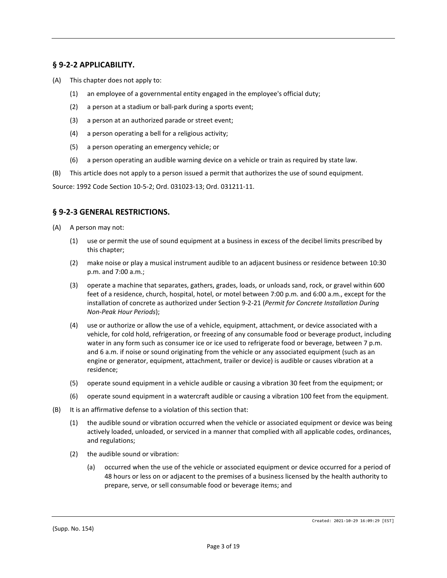## **§ 9-2-2 APPLICABILITY.**

- (A) This chapter does not apply to:
	- (1) an employee of a governmental entity engaged in the employee's official duty;
	- (2) a person at a stadium or ball-park during a sports event;
	- (3) a person at an authorized parade or street event;
	- (4) a person operating a bell for a religious activity;
	- (5) a person operating an emergency vehicle; or
	- (6) a person operating an audible warning device on a vehicle or train as required by state law.
- (B) This article does not apply to a person issued a permit that authorizes the use of sound equipment.

Source: 1992 Code Section 10-5-2; Ord. 031023-13; Ord. 031211-11.

#### **§ 9-2-3 GENERAL RESTRICTIONS.**

- (A) A person may not:
	- (1) use or permit the use of sound equipment at a business in excess of the decibel limits prescribed by this chapter;
	- (2) make noise or play a musical instrument audible to an adjacent business or residence between 10:30 p.m. and 7:00 a.m.;
	- (3) operate a machine that separates, gathers, grades, loads, or unloads sand, rock, or gravel within 600 feet of a residence, church, hospital, hotel, or motel between 7:00 p.m. and 6:00 a.m., except for the installation of concrete as authorized under Section 9-2-21 (*Permit for Concrete Installation During Non-Peak Hour Periods*);
	- (4) use or authorize or allow the use of a vehicle, equipment, attachment, or device associated with a vehicle, for cold hold, refrigeration, or freezing of any consumable food or beverage product, including water in any form such as consumer ice or ice used to refrigerate food or beverage, between 7 p.m. and 6 a.m. if noise or sound originating from the vehicle or any associated equipment (such as an engine or generator, equipment, attachment, trailer or device) is audible or causes vibration at a residence;
	- (5) operate sound equipment in a vehicle audible or causing a vibration 30 feet from the equipment; or
	- (6) operate sound equipment in a watercraft audible or causing a vibration 100 feet from the equipment.
- (B) It is an affirmative defense to a violation of this section that:
	- (1) the audible sound or vibration occurred when the vehicle or associated equipment or device was being actively loaded, unloaded, or serviced in a manner that complied with all applicable codes, ordinances, and regulations;
	- (2) the audible sound or vibration:
		- (a) occurred when the use of the vehicle or associated equipment or device occurred for a period of 48 hours or less on or adjacent to the premises of a business licensed by the health authority to prepare, serve, or sell consumable food or beverage items; and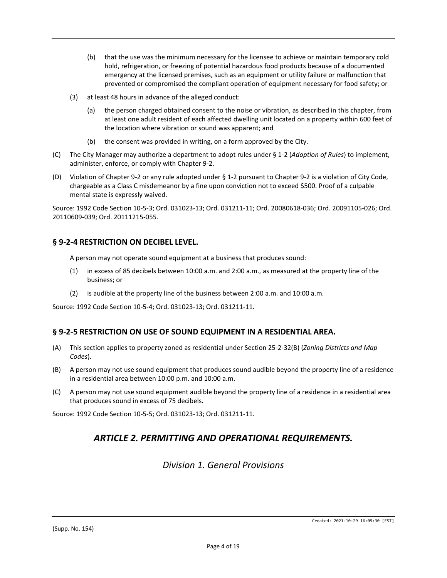- (b) that the use was the minimum necessary for the licensee to achieve or maintain temporary cold hold, refrigeration, or freezing of potential hazardous food products because of a documented emergency at the licensed premises, such as an equipment or utility failure or malfunction that prevented or compromised the compliant operation of equipment necessary for food safety; or
- (3) at least 48 hours in advance of the alleged conduct:
	- (a) the person charged obtained consent to the noise or vibration, as described in this chapter, from at least one adult resident of each affected dwelling unit located on a property within 600 feet of the location where vibration or sound was apparent; and
	- (b) the consent was provided in writing, on a form approved by the City.
- (C) The City Manager may authorize a department to adopt rules under § 1-2 (*Adoption of Rules*) to implement, administer, enforce, or comply with Chapter 9-2.
- (D) Violation of Chapter 9-2 or any rule adopted under § 1-2 pursuant to Chapter 9-2 is a violation of City Code, chargeable as a Class C misdemeanor by a fine upon conviction not to exceed \$500. Proof of a culpable mental state is expressly waived.

Source: 1992 Code Section 10-5-3; Ord. 031023-13; Ord. 031211-11; Ord. 20080618-036; Ord. 20091105-026; Ord. 20110609-039; Ord. 20111215-055.

## **§ 9-2-4 RESTRICTION ON DECIBEL LEVEL.**

A person may not operate sound equipment at a business that produces sound:

- (1) in excess of 85 decibels between 10:00 a.m. and 2:00 a.m., as measured at the property line of the business; or
- (2) is audible at the property line of the business between 2:00 a.m. and 10:00 a.m.

Source: 1992 Code Section 10-5-4; Ord. 031023-13; Ord. 031211-11.

#### **§ 9-2-5 RESTRICTION ON USE OF SOUND EQUIPMENT IN A RESIDENTIAL AREA.**

- (A) This section applies to property zoned as residential under Section 25-2-32(B) (*Zoning Districts and Map Codes*).
- (B) A person may not use sound equipment that produces sound audible beyond the property line of a residence in a residential area between 10:00 p.m. and 10:00 a.m.
- (C) A person may not use sound equipment audible beyond the property line of a residence in a residential area that produces sound in excess of 75 decibels.

Source: 1992 Code Section 10-5-5; Ord. 031023-13; Ord. 031211-11.

# *ARTICLE 2. PERMITTING AND OPERATIONAL REQUIREMENTS.*

*Division 1. General Provisions*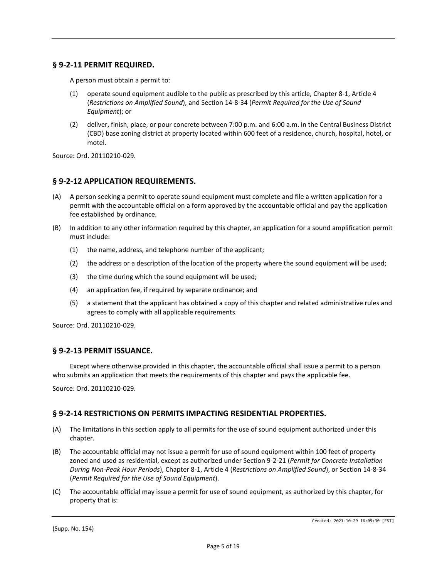## **§ 9-2-11 PERMIT REQUIRED.**

A person must obtain a permit to:

- (1) operate sound equipment audible to the public as prescribed by this article, Chapter 8-1, Article 4 (*Restrictions on Amplified Sound*), and Section 14-8-34 (*Permit Required for the Use of Sound Equipment*); or
- (2) deliver, finish, place, or pour concrete between 7:00 p.m. and 6:00 a.m. in the Central Business District (CBD) base zoning district at property located within 600 feet of a residence, church, hospital, hotel, or motel.

Source: Ord. 20110210-029.

#### **§ 9-2-12 APPLICATION REQUIREMENTS.**

- (A) A person seeking a permit to operate sound equipment must complete and file a written application for a permit with the accountable official on a form approved by the accountable official and pay the application fee established by ordinance.
- (B) In addition to any other information required by this chapter, an application for a sound amplification permit must include:
	- (1) the name, address, and telephone number of the applicant;
	- (2) the address or a description of the location of the property where the sound equipment will be used;
	- (3) the time during which the sound equipment will be used;
	- (4) an application fee, if required by separate ordinance; and
	- (5) a statement that the applicant has obtained a copy of this chapter and related administrative rules and agrees to comply with all applicable requirements.

Source: Ord. 20110210-029.

#### **§ 9-2-13 PERMIT ISSUANCE.**

Except where otherwise provided in this chapter, the accountable official shall issue a permit to a person who submits an application that meets the requirements of this chapter and pays the applicable fee.

Source: Ord. 20110210-029.

#### **§ 9-2-14 RESTRICTIONS ON PERMITS IMPACTING RESIDENTIAL PROPERTIES.**

- (A) The limitations in this section apply to all permits for the use of sound equipment authorized under this chapter.
- (B) The accountable official may not issue a permit for use of sound equipment within 100 feet of property zoned and used as residential, except as authorized under Section 9-2-21 (*Permit for Concrete Installation During Non-Peak Hour Periods*), Chapter 8-1, Article 4 (*Restrictions on Amplified Sound*), or Section 14-8-34 (*Permit Required for the Use of Sound Equipment*).
- (C) The accountable official may issue a permit for use of sound equipment, as authorized by this chapter, for property that is: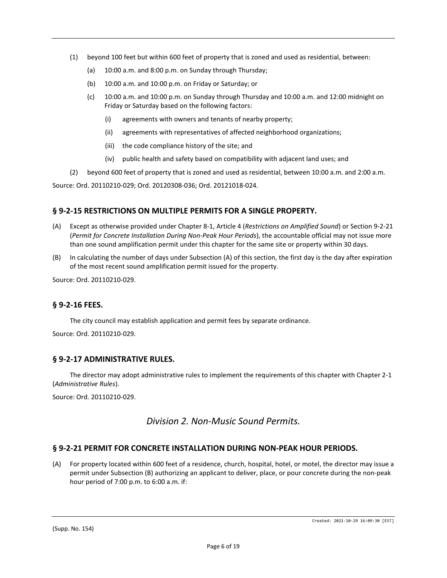- (1) beyond 100 feet but within 600 feet of property that is zoned and used as residential, between:
	- (a) 10:00 a.m. and 8:00 p.m. on Sunday through Thursday;
	- (b) 10:00 a.m. and 10:00 p.m. on Friday or Saturday; or
	- (c) 10:00 a.m. and 10:00 p.m. on Sunday through Thursday and 10:00 a.m. and 12:00 midnight on Friday or Saturday based on the following factors:
		- (i) agreements with owners and tenants of nearby property;
		- (ii) agreements with representatives of affected neighborhood organizations;
		- (iii) the code compliance history of the site; and
		- (iv) public health and safety based on compatibility with adjacent land uses; and
- (2) beyond 600 feet of property that is zoned and used as residential, between 10:00 a.m. and 2:00 a.m.

Source: Ord. 20110210-029; Ord. 20120308-036; Ord. 20121018-024.

## **§ 9-2-15 RESTRICTIONS ON MULTIPLE PERMITS FOR A SINGLE PROPERTY.**

- (A) Except as otherwise provided under Chapter 8-1, Article 4 (*Restrictions on Amplified Sound*) or Section 9-2-21 (*Permit for Concrete Installation During Non-Peak Hour Periods*), the accountable official may not issue more than one sound amplification permit under this chapter for the same site or property within 30 days.
- (B) In calculating the number of days under Subsection (A) of this section, the first day is the day after expiration of the most recent sound amplification permit issued for the property.

Source: Ord. 20110210-029.

## **§ 9-2-16 FEES.**

The city council may establish application and permit fees by separate ordinance.

Source: Ord. 20110210-029.

#### **§ 9-2-17 ADMINISTRATIVE RULES.**

The director may adopt administrative rules to implement the requirements of this chapter with Chapter 2-1 (*Administrative Rules*).

Source: Ord. 20110210-029.

## *Division 2. Non-Music Sound Permits.*

## **§ 9-2-21 PERMIT FOR CONCRETE INSTALLATION DURING NON-PEAK HOUR PERIODS.**

(A) For property located within 600 feet of a residence, church, hospital, hotel, or motel, the director may issue a permit under Subsection (B) authorizing an applicant to deliver, place, or pour concrete during the non-peak hour period of 7:00 p.m. to 6:00 a.m. if: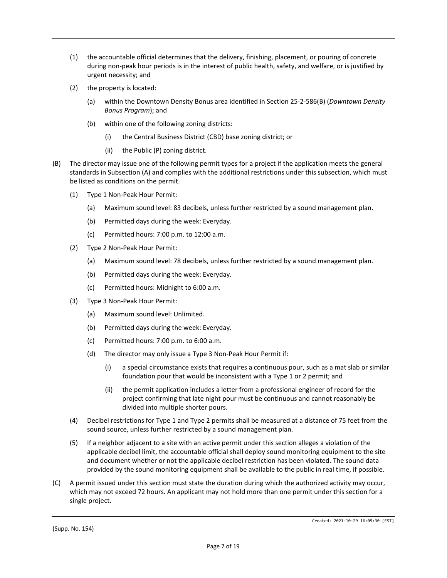- (1) the accountable official determines that the delivery, finishing, placement, or pouring of concrete during non-peak hour periods is in the interest of public health, safety, and welfare, or is justified by urgent necessity; and
- (2) the property is located:
	- (a) within the Downtown Density Bonus area identified in Section 25-2-586(B) (*Downtown Density Bonus Program*); and
	- (b) within one of the following zoning districts:
		- (i) the Central Business District (CBD) base zoning district; or
		- (ii) the Public (P) zoning district.
- (B) The director may issue one of the following permit types for a project if the application meets the general standards in Subsection (A) and complies with the additional restrictions under this subsection, which must be listed as conditions on the permit.
	- (1) Type 1 Non-Peak Hour Permit:
		- (a) Maximum sound level: 83 decibels, unless further restricted by a sound management plan.
		- (b) Permitted days during the week: Everyday.
		- (c) Permitted hours: 7:00 p.m. to 12:00 a.m.
	- (2) Type 2 Non-Peak Hour Permit:
		- (a) Maximum sound level: 78 decibels, unless further restricted by a sound management plan.
		- (b) Permitted days during the week: Everyday.
		- (c) Permitted hours: Midnight to 6:00 a.m.
	- (3) Type 3 Non-Peak Hour Permit:
		- (a) Maximum sound level: Unlimited.
		- (b) Permitted days during the week: Everyday.
		- (c) Permitted hours: 7:00 p.m. to 6:00 a.m.
		- (d) The director may only issue a Type 3 Non-Peak Hour Permit if:
			- (i) a special circumstance exists that requires a continuous pour, such as a mat slab or similar foundation pour that would be inconsistent with a Type 1 or 2 permit; and
			- (ii) the permit application includes a letter from a professional engineer of record for the project confirming that late night pour must be continuous and cannot reasonably be divided into multiple shorter pours.
	- (4) Decibel restrictions for Type 1 and Type 2 permits shall be measured at a distance of 75 feet from the sound source, unless further restricted by a sound management plan.
	- (5) If a neighbor adjacent to a site with an active permit under this section alleges a violation of the applicable decibel limit, the accountable official shall deploy sound monitoring equipment to the site and document whether or not the applicable decibel restriction has been violated. The sound data provided by the sound monitoring equipment shall be available to the public in real time, if possible.
- (C) A permit issued under this section must state the duration during which the authorized activity may occur, which may not exceed 72 hours. An applicant may not hold more than one permit under this section for a single project.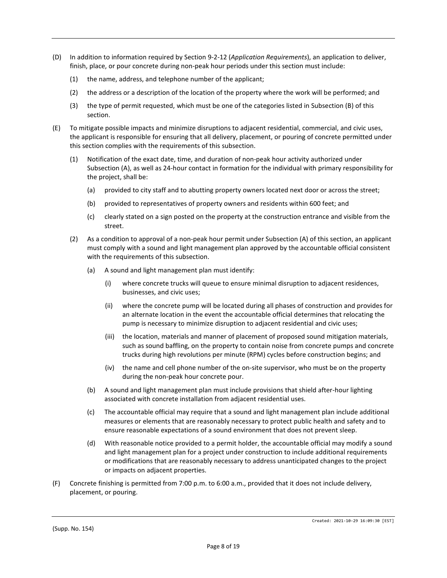- (D) In addition to information required by Section 9-2-12 (*Application Requirements*), an application to deliver, finish, place, or pour concrete during non-peak hour periods under this section must include:
	- (1) the name, address, and telephone number of the applicant;
	- (2) the address or a description of the location of the property where the work will be performed; and
	- (3) the type of permit requested, which must be one of the categories listed in Subsection (B) of this section.
- (E) To mitigate possible impacts and minimize disruptions to adjacent residential, commercial, and civic uses, the applicant is responsible for ensuring that all delivery, placement, or pouring of concrete permitted under this section complies with the requirements of this subsection.
	- (1) Notification of the exact date, time, and duration of non-peak hour activity authorized under Subsection (A), as well as 24-hour contact in formation for the individual with primary responsibility for the project, shall be:
		- (a) provided to city staff and to abutting property owners located next door or across the street;
		- (b) provided to representatives of property owners and residents within 600 feet; and
		- (c) clearly stated on a sign posted on the property at the construction entrance and visible from the street.
	- (2) As a condition to approval of a non-peak hour permit under Subsection (A) of this section, an applicant must comply with a sound and light management plan approved by the accountable official consistent with the requirements of this subsection.
		- (a) A sound and light management plan must identify:
			- (i) where concrete trucks will queue to ensure minimal disruption to adjacent residences, businesses, and civic uses;
			- (ii) where the concrete pump will be located during all phases of construction and provides for an alternate location in the event the accountable official determines that relocating the pump is necessary to minimize disruption to adjacent residential and civic uses;
			- (iii) the location, materials and manner of placement of proposed sound mitigation materials, such as sound baffling, on the property to contain noise from concrete pumps and concrete trucks during high revolutions per minute (RPM) cycles before construction begins; and
			- (iv) the name and cell phone number of the on-site supervisor, who must be on the property during the non-peak hour concrete pour.
		- (b) A sound and light management plan must include provisions that shield after-hour lighting associated with concrete installation from adjacent residential uses.
		- (c) The accountable official may require that a sound and light management plan include additional measures or elements that are reasonably necessary to protect public health and safety and to ensure reasonable expectations of a sound environment that does not prevent sleep.
		- (d) With reasonable notice provided to a permit holder, the accountable official may modify a sound and light management plan for a project under construction to include additional requirements or modifications that are reasonably necessary to address unanticipated changes to the project or impacts on adjacent properties.
- (F) Concrete finishing is permitted from 7:00 p.m. to 6:00 a.m., provided that it does not include delivery, placement, or pouring.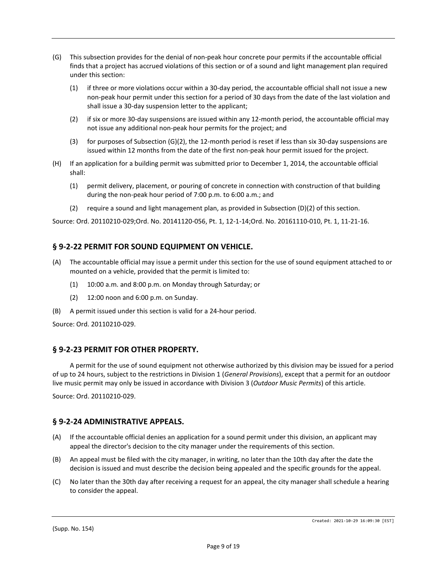- (G) This subsection provides for the denial of non-peak hour concrete pour permits if the accountable official finds that a project has accrued violations of this section or of a sound and light management plan required under this section:
	- (1) if three or more violations occur within a 30-day period, the accountable official shall not issue a new non-peak hour permit under this section for a period of 30 days from the date of the last violation and shall issue a 30-day suspension letter to the applicant;
	- (2) if six or more 30-day suspensions are issued within any 12-month period, the accountable official may not issue any additional non-peak hour permits for the project; and
	- (3) for purposes of Subsection (G)(2), the 12-month period is reset if less than six 30-day suspensions are issued within 12 months from the date of the first non-peak hour permit issued for the project.
- (H) If an application for a building permit was submitted prior to December 1, 2014, the accountable official shall:
	- (1) permit delivery, placement, or pouring of concrete in connection with construction of that building during the non-peak hour period of 7:00 p.m. to 6:00 a.m.; and
	- (2) require a sound and light management plan, as provided in Subsection (D)(2) of this section.

Source: Ord. 20110210-029;Ord. No. 20141120-056, Pt. 1, 12-1-14;Ord. No. 20161110-010, Pt. 1, 11-21-16.

### **§ 9-2-22 PERMIT FOR SOUND EQUIPMENT ON VEHICLE.**

- (A) The accountable official may issue a permit under this section for the use of sound equipment attached to or mounted on a vehicle, provided that the permit is limited to:
	- (1) 10:00 a.m. and 8:00 p.m. on Monday through Saturday; or
	- (2) 12:00 noon and 6:00 p.m. on Sunday.
- (B) A permit issued under this section is valid for a 24-hour period.

Source: Ord. 20110210-029.

#### **§ 9-2-23 PERMIT FOR OTHER PROPERTY.**

A permit for the use of sound equipment not otherwise authorized by this division may be issued for a period of up to 24 hours, subject to the restrictions in Division 1 (*General Provisions*), except that a permit for an outdoor live music permit may only be issued in accordance with Division 3 (*Outdoor Music Permits*) of this article.

Source: Ord. 20110210-029.

#### **§ 9-2-24 ADMINISTRATIVE APPEALS.**

- (A) If the accountable official denies an application for a sound permit under this division, an applicant may appeal the director's decision to the city manager under the requirements of this section.
- (B) An appeal must be filed with the city manager, in writing, no later than the 10th day after the date the decision is issued and must describe the decision being appealed and the specific grounds for the appeal.
- (C) No later than the 30th day after receiving a request for an appeal, the city manager shall schedule a hearing to consider the appeal.

(Supp. No. 154)

Created: 2021-10-29 16:09:30 [EST]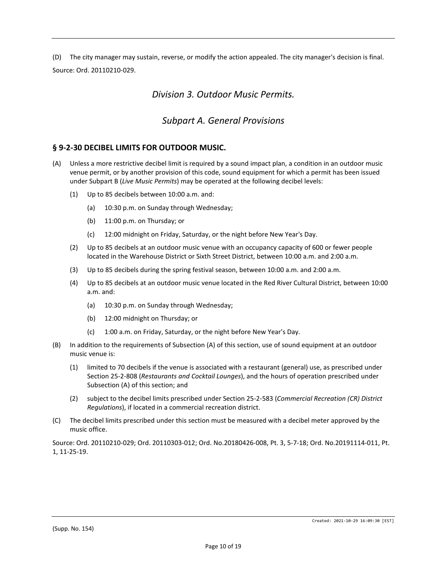(D) The city manager may sustain, reverse, or modify the action appealed. The city manager's decision is final. Source: Ord. 20110210-029.

## *Division 3. Outdoor Music Permits.*

## *Subpart A. General Provisions*

#### **§ 9-2-30 DECIBEL LIMITS FOR OUTDOOR MUSIC.**

- (A) Unless a more restrictive decibel limit is required by a sound impact plan, a condition in an outdoor music venue permit, or by another provision of this code, sound equipment for which a permit has been issued under Subpart B (*Live Music Permits*) may be operated at the following decibel levels:
	- (1) Up to 85 decibels between 10:00 a.m. and:
		- (a) 10:30 p.m. on Sunday through Wednesday;
		- (b) 11:00 p.m. on Thursday; or
		- (c) 12:00 midnight on Friday, Saturday, or the night before New Year's Day.
	- (2) Up to 85 decibels at an outdoor music venue with an occupancy capacity of 600 or fewer people located in the Warehouse District or Sixth Street District, between 10:00 a.m. and 2:00 a.m.
	- (3) Up to 85 decibels during the spring festival season, between 10:00 a.m. and 2:00 a.m.
	- (4) Up to 85 decibels at an outdoor music venue located in the Red River Cultural District, between 10:00 a.m. and:
		- (a) 10:30 p.m. on Sunday through Wednesday;
		- (b) 12:00 midnight on Thursday; or
		- (c) 1:00 a.m. on Friday, Saturday, or the night before New Year's Day.
- (B) In addition to the requirements of Subsection (A) of this section, use of sound equipment at an outdoor music venue is:
	- (1) limited to 70 decibels if the venue is associated with a restaurant (general) use, as prescribed under Section 25-2-808 (*Restaurants and Cocktail Lounges*), and the hours of operation prescribed under Subsection (A) of this section; and
	- (2) subject to the decibel limits prescribed under Section 25-2-583 (*Commercial Recreation (CR) District Regulations*), if located in a commercial recreation district.
- (C) The decibel limits prescribed under this section must be measured with a decibel meter approved by the music office.

Source: Ord. 20110210-029; Ord. 20110303-012; Ord. No.20180426-008, Pt. 3, 5-7-18; Ord. No.20191114-011, Pt. 1, 11-25-19.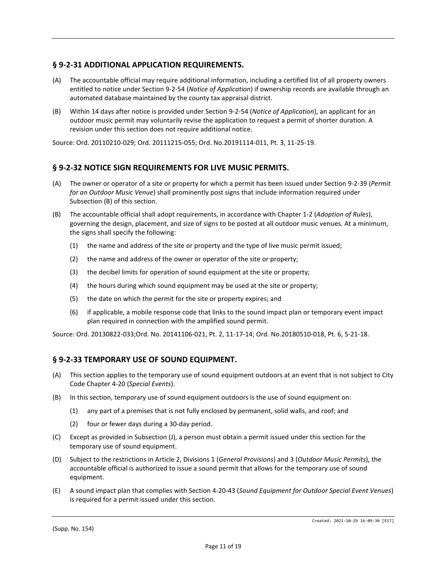### **§ 9-2-31 ADDITIONAL APPLICATION REQUIREMENTS.**

- (A) The accountable official may require additional information, including a certified list of all property owners entitled to notice under Section 9-2-54 (*Notice of Application*) if ownership records are available through an automated database maintained by the county tax appraisal district.
- (B) Within 14 days after notice is provided under Section 9-2-54 (*Notice of Application*), an applicant for an outdoor music permit may voluntarily revise the application to request a permit of shorter duration. A revision under this section does not require additional notice.

Source: Ord. 20110210-029; Ord. 20111215-055; Ord. No.20191114-011, Pt. 3, 11-25-19.

### **§ 9-2-32 NOTICE SIGN REQUIREMENTS FOR LIVE MUSIC PERMITS.**

- (A) The owner or operator of a site or property for which a permit has been issued under Section 9-2-39 (*Permit for an Outdoor Music Venue*) shall prominently post signs that include information required under Subsection (B) of this section.
- (B) The accountable official shall adopt requirements, in accordance with Chapter 1-2 (*Adoption of Rules*), governing the design, placement, and size of signs to be posted at all outdoor music venues. At a minimum, the signs shall specify the following:
	- (1) the name and address of the site or property and the type of live music permit issued;
	- (2) the name and address of the owner or operator of the site or property;
	- (3) the decibel limits for operation of sound equipment at the site or property;
	- (4) the hours during which sound equipment may be used at the site or property;
	- (5) the date on which the permit for the site or property expires; and
	- (6) if applicable, a mobile response code that links to the sound impact plan or temporary event impact plan required in connection with the amplified sound permit.

Source: Ord. 20130822-033;Ord. No. 20141106-021, Pt. 2, 11-17-14; Ord. No.20180510-018, Pt. 6, 5-21-18.

#### **§ 9-2-33 TEMPORARY USE OF SOUND EQUIPMENT.**

- (A) This section applies to the temporary use of sound equipment outdoors at an event that is not subject to City Code Chapter 4-20 (*Special Events*).
- (B) In this section, temporary use of sound equipment outdoors is the use of sound equipment on:
	- (1) any part of a premises that is not fully enclosed by permanent, solid walls, and roof; and
	- (2) four or fewer days during a 30-day period.
- (C) Except as provided in Subsection (J), a person must obtain a permit issued under this section for the temporary use of sound equipment.
- (D) Subject to the restrictions in Article 2, Divisions 1 (*General Provisions*) and 3 (*Outdoor Music Permits*), the accountable official is authorized to issue a sound permit that allows for the temporary use of sound equipment.
- (E) A sound impact plan that complies with Section 4-20-43 (*Sound Equipment for Outdoor Special Event Venues*) is required for a permit issued under this section.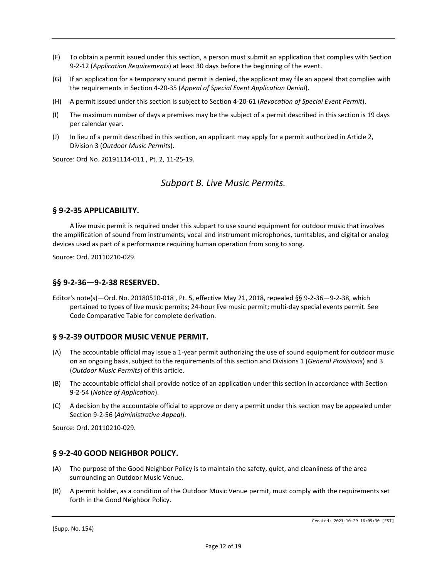- (F) To obtain a permit issued under this section, a person must submit an application that complies with Section 9-2-12 (*Application Requirements*) at least 30 days before the beginning of the event.
- (G) If an application for a temporary sound permit is denied, the applicant may file an appeal that complies with the requirements in Section 4-20-35 (*Appeal of Special Event Application Denial*).
- (H) A permit issued under this section is subject to Section 4-20-61 (*Revocation of Special Event Permit*).
- (I) The maximum number of days a premises may be the subject of a permit described in this section is 19 days per calendar year.
- (J) In lieu of a permit described in this section, an applicant may apply for a permit authorized in Article 2, Division 3 (*Outdoor Music Permits*).

Source: Ord No. 20191114-011 , Pt. 2, 11-25-19.

## *Subpart B. Live Music Permits.*

#### **§ 9-2-35 APPLICABILITY.**

A live music permit is required under this subpart to use sound equipment for outdoor music that involves the amplification of sound from instruments, vocal and instrument microphones, turntables, and digital or analog devices used as part of a performance requiring human operation from song to song.

Source: Ord. 20110210-029.

#### **§§ 9-2-36—9-2-38 RESERVED.**

Editor's note(s)—Ord. No. 20180510-018 , Pt. 5, effective May 21, 2018, repealed §§ 9-2-36—9-2-38, which pertained to types of live music permits; 24-hour live music permit; multi-day special events permit. See Code Comparative Table for complete derivation.

#### **§ 9-2-39 OUTDOOR MUSIC VENUE PERMIT.**

- (A) The accountable official may issue a 1-year permit authorizing the use of sound equipment for outdoor music on an ongoing basis, subject to the requirements of this section and Divisions 1 (*General Provisions*) and 3 (*Outdoor Music Permits*) of this article.
- (B) The accountable official shall provide notice of an application under this section in accordance with Section 9-2-54 (*Notice of Application*).
- (C) A decision by the accountable official to approve or deny a permit under this section may be appealed under Section 9-2-56 (*Administrative Appeal*).

Source: Ord. 20110210-029.

#### **§ 9-2-40 GOOD NEIGHBOR POLICY.**

- (A) The purpose of the Good Neighbor Policy is to maintain the safety, quiet, and cleanliness of the area surrounding an Outdoor Music Venue.
- (B) A permit holder, as a condition of the Outdoor Music Venue permit, must comply with the requirements set forth in the Good Neighbor Policy.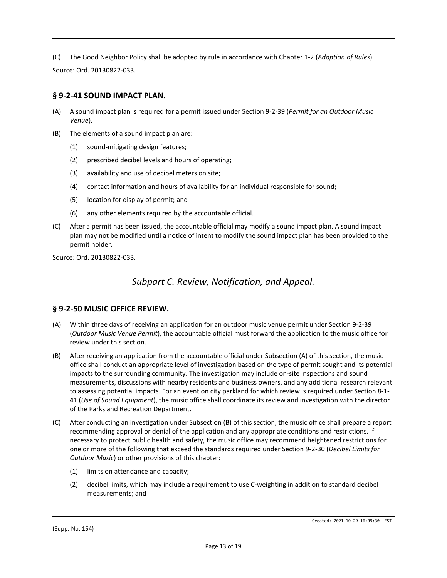(C) The Good Neighbor Policy shall be adopted by rule in accordance with Chapter 1-2 (*Adoption of Rules*). Source: Ord. 20130822-033.

## **§ 9-2-41 SOUND IMPACT PLAN.**

- (A) A sound impact plan is required for a permit issued under Section 9-2-39 (*Permit for an Outdoor Music Venue*).
- (B) The elements of a sound impact plan are:
	- (1) sound-mitigating design features;
	- (2) prescribed decibel levels and hours of operating;
	- (3) availability and use of decibel meters on site;
	- (4) contact information and hours of availability for an individual responsible for sound;
	- (5) location for display of permit; and
	- (6) any other elements required by the accountable official.
- (C) After a permit has been issued, the accountable official may modify a sound impact plan. A sound impact plan may not be modified until a notice of intent to modify the sound impact plan has been provided to the permit holder.

Source: Ord. 20130822-033.

## *Subpart C. Review, Notification, and Appeal.*

## **§ 9-2-50 MUSIC OFFICE REVIEW.**

- (A) Within three days of receiving an application for an outdoor music venue permit under Section 9-2-39 (*Outdoor Music Venue Permit*), the accountable official must forward the application to the music office for review under this section.
- (B) After receiving an application from the accountable official under Subsection (A) of this section, the music office shall conduct an appropriate level of investigation based on the type of permit sought and its potential impacts to the surrounding community. The investigation may include on-site inspections and sound measurements, discussions with nearby residents and business owners, and any additional research relevant to assessing potential impacts. For an event on city parkland for which review is required under Section 8-1- 41 (*Use of Sound Equipment*), the music office shall coordinate its review and investigation with the director of the Parks and Recreation Department.
- (C) After conducting an investigation under Subsection (B) of this section, the music office shall prepare a report recommending approval or denial of the application and any appropriate conditions and restrictions. If necessary to protect public health and safety, the music office may recommend heightened restrictions for one or more of the following that exceed the standards required under Section 9-2-30 (*Decibel Limits for Outdoor Music*) or other provisions of this chapter:
	- (1) limits on attendance and capacity;
	- (2) decibel limits, which may include a requirement to use C-weighting in addition to standard decibel measurements; and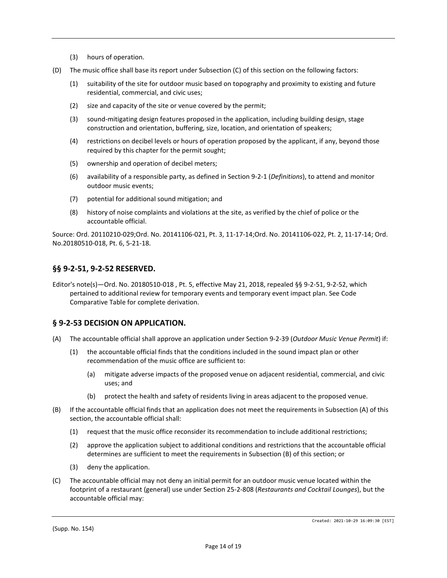- (3) hours of operation.
- (D) The music office shall base its report under Subsection (C) of this section on the following factors:
	- (1) suitability of the site for outdoor music based on topography and proximity to existing and future residential, commercial, and civic uses;
	- (2) size and capacity of the site or venue covered by the permit;
	- (3) sound-mitigating design features proposed in the application, including building design, stage construction and orientation, buffering, size, location, and orientation of speakers;
	- (4) restrictions on decibel levels or hours of operation proposed by the applicant, if any, beyond those required by this chapter for the permit sought;
	- (5) ownership and operation of decibel meters;
	- (6) availability of a responsible party, as defined in Section 9-2-1 (*Definitions*), to attend and monitor outdoor music events;
	- (7) potential for additional sound mitigation; and
	- (8) history of noise complaints and violations at the site, as verified by the chief of police or the accountable official.

Source: Ord. 20110210-029;Ord. No. 20141106-021, Pt. 3, 11-17-14;Ord. No. 20141106-022, Pt. 2, 11-17-14; Ord. No.20180510-018, Pt. 6, 5-21-18.

### **§§ 9-2-51, 9-2-52 RESERVED.**

Editor's note(s)—Ord. No. 20180510-018 , Pt. 5, effective May 21, 2018, repealed §§ 9-2-51, 9-2-52, which pertained to additional review for temporary events and temporary event impact plan. See Code Comparative Table for complete derivation.

#### **§ 9-2-53 DECISION ON APPLICATION.**

- (A) The accountable official shall approve an application under Section 9-2-39 (*Outdoor Music Venue Permit*) if:
	- (1) the accountable official finds that the conditions included in the sound impact plan or other recommendation of the music office are sufficient to:
		- (a) mitigate adverse impacts of the proposed venue on adjacent residential, commercial, and civic uses; and
		- (b) protect the health and safety of residents living in areas adjacent to the proposed venue.
- (B) If the accountable official finds that an application does not meet the requirements in Subsection (A) of this section, the accountable official shall:
	- (1) request that the music office reconsider its recommendation to include additional restrictions;
	- (2) approve the application subject to additional conditions and restrictions that the accountable official determines are sufficient to meet the requirements in Subsection (B) of this section; or
	- (3) deny the application.
- (C) The accountable official may not deny an initial permit for an outdoor music venue located within the footprint of a restaurant (general) use under Section 25-2-808 (*Restaurants and Cocktail Lounges*), but the accountable official may: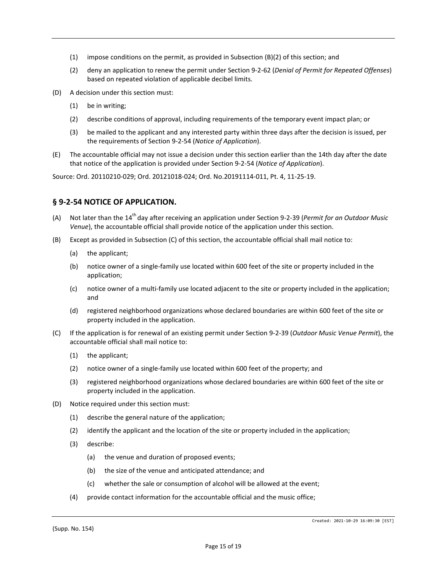- $(1)$  impose conditions on the permit, as provided in Subsection  $(B)(2)$  of this section; and
- (2) deny an application to renew the permit under Section 9-2-62 (*Denial of Permit for Repeated Offenses*) based on repeated violation of applicable decibel limits.
- (D) A decision under this section must:
	- (1) be in writing;
	- (2) describe conditions of approval, including requirements of the temporary event impact plan; or
	- (3) be mailed to the applicant and any interested party within three days after the decision is issued, per the requirements of Section 9-2-54 (*Notice of Application*).
- (E) The accountable official may not issue a decision under this section earlier than the 14th day after the date that notice of the application is provided under Section 9-2-54 (*Notice of Application*).

Source: Ord. 20110210-029; Ord. 20121018-024; Ord. No.20191114-011, Pt. 4, 11-25-19.

#### **§ 9-2-54 NOTICE OF APPLICATION.**

- (A) Not later than the 14th day after receiving an application under Section 9-2-39 (*Permit for an Outdoor Music Venue*), the accountable official shall provide notice of the application under this section.
- (B) Except as provided in Subsection (C) of this section, the accountable official shall mail notice to:
	- (a) the applicant;
	- (b) notice owner of a single-family use located within 600 feet of the site or property included in the application;
	- (c) notice owner of a multi-family use located adjacent to the site or property included in the application; and
	- (d) registered neighborhood organizations whose declared boundaries are within 600 feet of the site or property included in the application.
- (C) If the application is for renewal of an existing permit under Section 9-2-39 (*Outdoor Music Venue Permit*), the accountable official shall mail notice to:
	- (1) the applicant;
	- (2) notice owner of a single-family use located within 600 feet of the property; and
	- (3) registered neighborhood organizations whose declared boundaries are within 600 feet of the site or property included in the application.
- (D) Notice required under this section must:
	- (1) describe the general nature of the application;
	- (2) identify the applicant and the location of the site or property included in the application;
	- (3) describe:
		- (a) the venue and duration of proposed events;
		- (b) the size of the venue and anticipated attendance; and
		- (c) whether the sale or consumption of alcohol will be allowed at the event;
	- (4) provide contact information for the accountable official and the music office;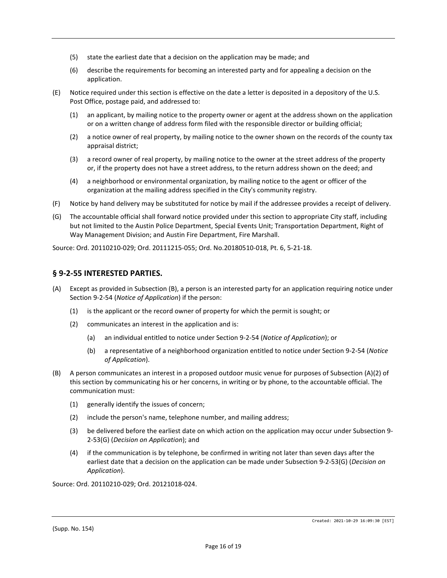- (5) state the earliest date that a decision on the application may be made; and
- (6) describe the requirements for becoming an interested party and for appealing a decision on the application.
- (E) Notice required under this section is effective on the date a letter is deposited in a depository of the U.S. Post Office, postage paid, and addressed to:
	- (1) an applicant, by mailing notice to the property owner or agent at the address shown on the application or on a written change of address form filed with the responsible director or building official;
	- (2) a notice owner of real property, by mailing notice to the owner shown on the records of the county tax appraisal district;
	- (3) a record owner of real property, by mailing notice to the owner at the street address of the property or, if the property does not have a street address, to the return address shown on the deed; and
	- (4) a neighborhood or environmental organization, by mailing notice to the agent or officer of the organization at the mailing address specified in the City's community registry.
- (F) Notice by hand delivery may be substituted for notice by mail if the addressee provides a receipt of delivery.
- (G) The accountable official shall forward notice provided under this section to appropriate City staff, including but not limited to the Austin Police Department, Special Events Unit; Transportation Department, Right of Way Management Division; and Austin Fire Department, Fire Marshall.

Source: Ord. 20110210-029; Ord. 20111215-055; Ord. No.20180510-018, Pt. 6, 5-21-18.

#### **§ 9-2-55 INTERESTED PARTIES.**

- (A) Except as provided in Subsection (B), a person is an interested party for an application requiring notice under Section 9-2-54 (*Notice of Application*) if the person:
	- (1) is the applicant or the record owner of property for which the permit is sought; or
	- (2) communicates an interest in the application and is:
		- (a) an individual entitled to notice under Section 9-2-54 (*Notice of Application*); or
		- (b) a representative of a neighborhood organization entitled to notice under Section 9-2-54 (*Notice of Application*).
- (B) A person communicates an interest in a proposed outdoor music venue for purposes of Subsection (A)(2) of this section by communicating his or her concerns, in writing or by phone, to the accountable official. The communication must:
	- (1) generally identify the issues of concern;
	- (2) include the person's name, telephone number, and mailing address;
	- (3) be delivered before the earliest date on which action on the application may occur under Subsection 9- 2-53(G) (*Decision on Application*); and
	- (4) if the communication is by telephone, be confirmed in writing not later than seven days after the earliest date that a decision on the application can be made under Subsection 9-2-53(G) (*Decision on Application*).

Source: Ord. 20110210-029; Ord. 20121018-024.

(Supp. No. 154)

Created: 2021-10-29 16:09:30 [EST]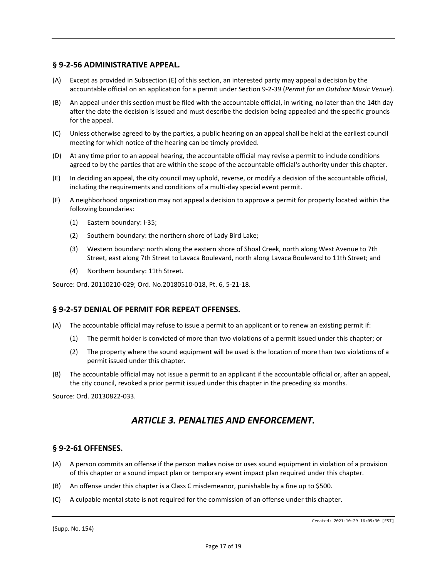### **§ 9-2-56 ADMINISTRATIVE APPEAL.**

- (A) Except as provided in Subsection (E) of this section, an interested party may appeal a decision by the accountable official on an application for a permit under Section 9-2-39 (*Permit for an Outdoor Music Venue*).
- (B) An appeal under this section must be filed with the accountable official, in writing, no later than the 14th day after the date the decision is issued and must describe the decision being appealed and the specific grounds for the appeal.
- (C) Unless otherwise agreed to by the parties, a public hearing on an appeal shall be held at the earliest council meeting for which notice of the hearing can be timely provided.
- (D) At any time prior to an appeal hearing, the accountable official may revise a permit to include conditions agreed to by the parties that are within the scope of the accountable official's authority under this chapter.
- (E) In deciding an appeal, the city council may uphold, reverse, or modify a decision of the accountable official, including the requirements and conditions of a multi-day special event permit.
- (F) A neighborhood organization may not appeal a decision to approve a permit for property located within the following boundaries:
	- (1) Eastern boundary: I-35;
	- (2) Southern boundary: the northern shore of Lady Bird Lake;
	- (3) Western boundary: north along the eastern shore of Shoal Creek, north along West Avenue to 7th Street, east along 7th Street to Lavaca Boulevard, north along Lavaca Boulevard to 11th Street; and
	- (4) Northern boundary: 11th Street.

Source: Ord. 20110210-029; Ord. No.20180510-018, Pt. 6, 5-21-18.

#### **§ 9-2-57 DENIAL OF PERMIT FOR REPEAT OFFENSES.**

- (A) The accountable official may refuse to issue a permit to an applicant or to renew an existing permit if:
	- (1) The permit holder is convicted of more than two violations of a permit issued under this chapter; or
	- (2) The property where the sound equipment will be used is the location of more than two violations of a permit issued under this chapter.
- (B) The accountable official may not issue a permit to an applicant if the accountable official or, after an appeal, the city council, revoked a prior permit issued under this chapter in the preceding six months.

Source: Ord. 20130822-033.

# *ARTICLE 3. PENALTIES AND ENFORCEMENT.*

#### **§ 9-2-61 OFFENSES.**

- (A) A person commits an offense if the person makes noise or uses sound equipment in violation of a provision of this chapter or a sound impact plan or temporary event impact plan required under this chapter.
- (B) An offense under this chapter is a Class C misdemeanor, punishable by a fine up to \$500.
- (C) A culpable mental state is not required for the commission of an offense under this chapter.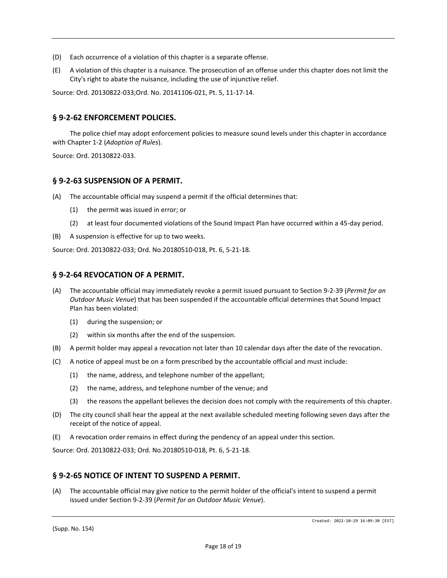- (D) Each occurrence of a violation of this chapter is a separate offense.
- (E) A violation of this chapter is a nuisance. The prosecution of an offense under this chapter does not limit the City's right to abate the nuisance, including the use of injunctive relief.

Source: Ord. 20130822-033;Ord. No. 20141106-021, Pt. 5, 11-17-14.

#### **§ 9-2-62 ENFORCEMENT POLICIES.**

The police chief may adopt enforcement policies to measure sound levels under this chapter in accordance with Chapter 1-2 (*Adoption of Rules*).

Source: Ord. 20130822-033.

#### **§ 9-2-63 SUSPENSION OF A PERMIT.**

(A) The accountable official may suspend a permit if the official determines that:

- (1) the permit was issued in error; or
- (2) at least four documented violations of the Sound Impact Plan have occurred within a 45-day period.
- (B) A suspension is effective for up to two weeks.

Source: Ord. 20130822-033; Ord. No.20180510-018, Pt. 6, 5-21-18.

#### **§ 9-2-64 REVOCATION OF A PERMIT.**

- (A) The accountable official may immediately revoke a permit issued pursuant to Section 9-2-39 (*Permit for an Outdoor Music Venue*) that has been suspended if the accountable official determines that Sound Impact Plan has been violated:
	- (1) during the suspension; or
	- (2) within six months after the end of the suspension.
- (B) A permit holder may appeal a revocation not later than 10 calendar days after the date of the revocation.
- (C) A notice of appeal must be on a form prescribed by the accountable official and must include:
	- (1) the name, address, and telephone number of the appellant;
	- (2) the name, address, and telephone number of the venue; and
	- (3) the reasons the appellant believes the decision does not comply with the requirements of this chapter.
- (D) The city council shall hear the appeal at the next available scheduled meeting following seven days after the receipt of the notice of appeal.
- (E) A revocation order remains in effect during the pendency of an appeal under this section.

Source: Ord. 20130822-033; Ord. No.20180510-018, Pt. 6, 5-21-18.

#### **§ 9-2-65 NOTICE OF INTENT TO SUSPEND A PERMIT.**

(A) The accountable official may give notice to the permit holder of the official's intent to suspend a permit issued under Section 9-2-39 (*Permit for an Outdoor Music Venue*).